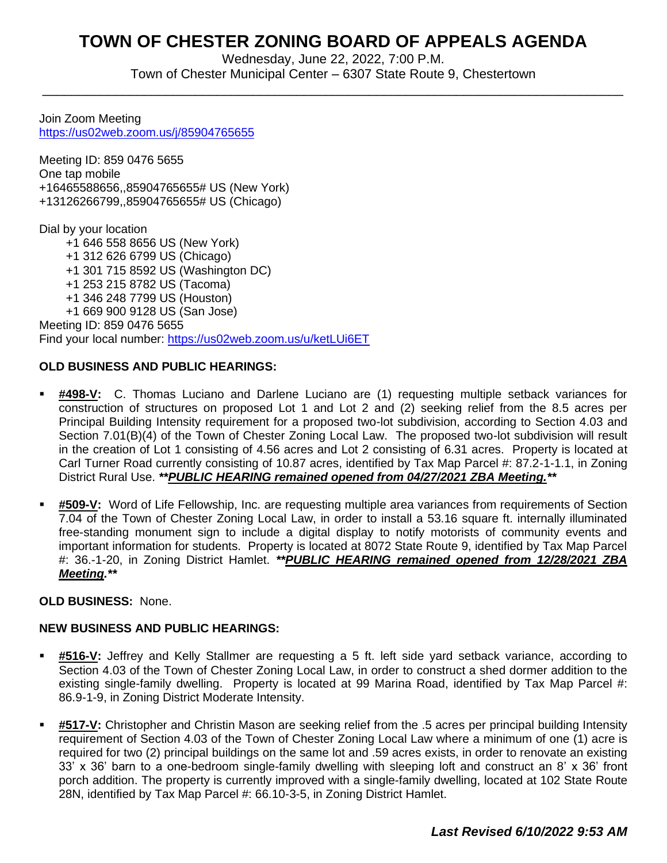# **TOWN OF CHESTER ZONING BOARD OF APPEALS AGENDA**

Wednesday, June 22, 2022, 7:00 P.M. Town of Chester Municipal Center – 6307 State Route 9, Chestertown

\_\_\_\_\_\_\_\_\_\_\_\_\_\_\_\_\_\_\_\_\_\_\_\_\_\_\_\_\_\_\_\_\_\_\_\_\_\_\_\_\_\_\_\_\_\_\_\_\_\_\_\_\_\_\_\_\_\_\_\_\_\_\_\_\_\_\_\_\_\_\_\_\_\_\_\_\_\_\_\_

Join Zoom Meeting <https://us02web.zoom.us/j/85904765655>

Meeting ID: 859 0476 5655 One tap mobile +16465588656,,85904765655# US (New York) +13126266799,,85904765655# US (Chicago)

Dial by your location

+1 646 558 8656 US (New York)

- +1 312 626 6799 US (Chicago)
- +1 301 715 8592 US (Washington DC)
- +1 253 215 8782 US (Tacoma)
- +1 346 248 7799 US (Houston)

 +1 669 900 9128 US (San Jose) Meeting ID: 859 0476 5655 Find your local number:<https://us02web.zoom.us/u/ketLUi6ET>

# **OLD BUSINESS AND PUBLIC HEARINGS:**

- **#498-V:** C. Thomas Luciano and Darlene Luciano are (1) requesting multiple setback variances for construction of structures on proposed Lot 1 and Lot 2 and (2) seeking relief from the 8.5 acres per Principal Building Intensity requirement for a proposed two-lot subdivision, according to Section 4.03 and Section 7.01(B)(4) of the Town of Chester Zoning Local Law. The proposed two-lot subdivision will result in the creation of Lot 1 consisting of 4.56 acres and Lot 2 consisting of 6.31 acres. Property is located at Carl Turner Road currently consisting of 10.87 acres, identified by Tax Map Parcel #: 87.2-1-1.1, in Zoning District Rural Use. *\*\*PUBLIC HEARING remained opened from 04/27/2021 ZBA Meeting.\*\**
- **#509-V:** Word of Life Fellowship, Inc. are requesting multiple area variances from requirements of Section 7.04 of the Town of Chester Zoning Local Law, in order to install a 53.16 square ft. internally illuminated free-standing monument sign to include a digital display to notify motorists of community events and important information for students. Property is located at 8072 State Route 9, identified by Tax Map Parcel #: 36.-1-20, in Zoning District Hamlet. *\*\*PUBLIC HEARING remained opened from 12/28/2021 ZBA Meeting.\*\**

# **OLD BUSINESS:** None.

# **NEW BUSINESS AND PUBLIC HEARINGS:**

- **#516-V:** Jeffrey and Kelly Stallmer are requesting a 5 ft. left side yard setback variance, according to Section 4.03 of the Town of Chester Zoning Local Law, in order to construct a shed dormer addition to the existing single-family dwelling. Property is located at 99 Marina Road, identified by Tax Map Parcel #: 86.9-1-9, in Zoning District Moderate Intensity.
- #517-V: Christopher and Christin Mason are seeking relief from the .5 acres per principal building Intensity requirement of Section 4.03 of the Town of Chester Zoning Local Law where a minimum of one (1) acre is required for two (2) principal buildings on the same lot and .59 acres exists, in order to renovate an existing 33' x 36' barn to a one-bedroom single-family dwelling with sleeping loft and construct an 8' x 36' front porch addition. The property is currently improved with a single-family dwelling, located at 102 State Route 28N, identified by Tax Map Parcel #: 66.10-3-5, in Zoning District Hamlet.